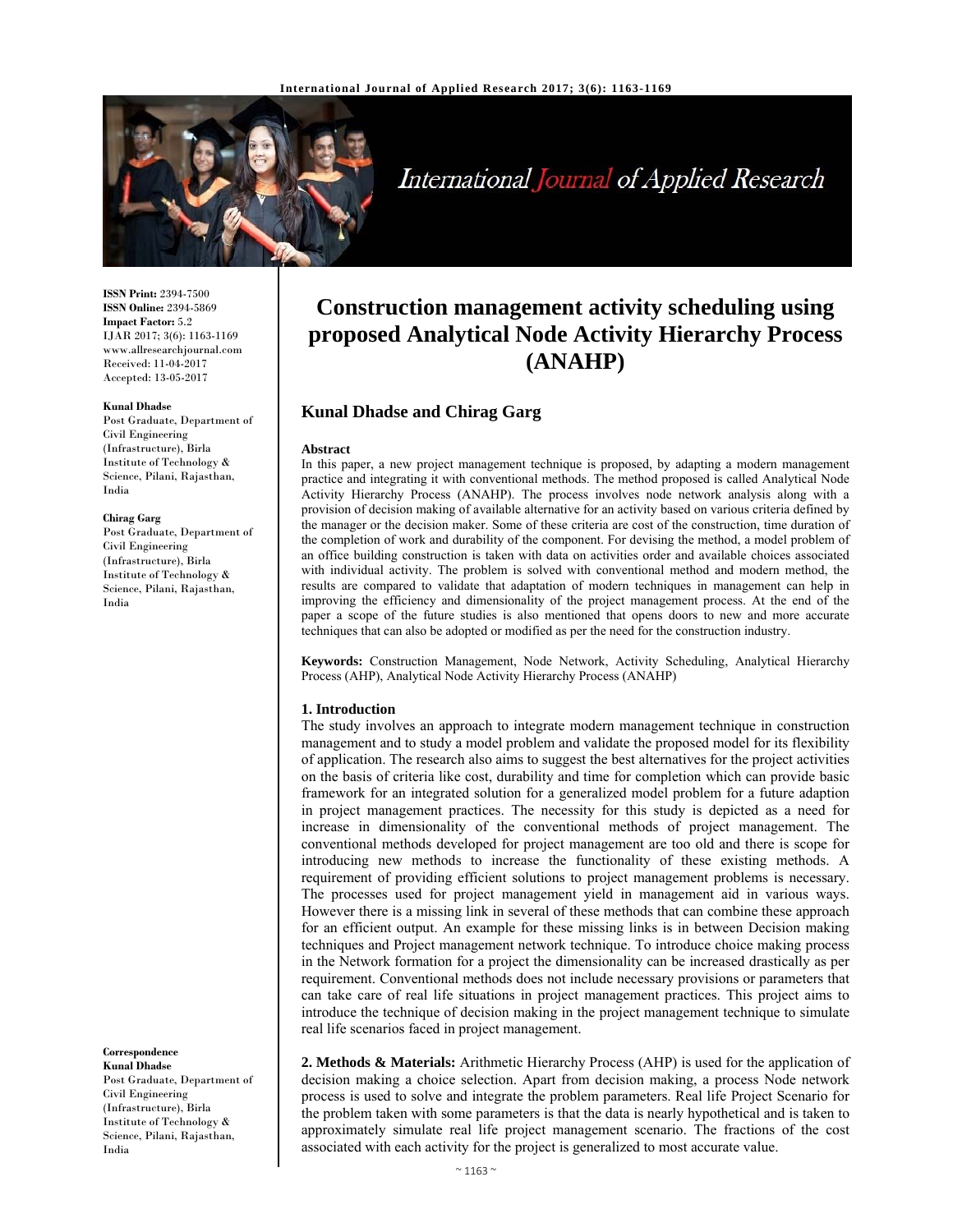

International Journal of Applied Research

**ISSN Print:** 2394-7500 **ISSN Online:** 2394-5869 **Impact Factor:** 5.2 IJAR 2017; 3(6): 1163-1169 www.allresearchjournal.com Received: 11-04-2017 Accepted: 13-05-2017

#### **Kunal Dhadse**

Post Graduate, Department of Civil Engineering (Infrastructure), Birla Institute of Technology & Science, Pilani, Rajasthan, India

#### **Chirag Garg**

Post Graduate, Department of Civil Engineering (Infrastructure), Birla Institute of Technology & Science, Pilani, Rajasthan, India

**Correspondence Kunal Dhadse** 

Post Graduate, Department of Civil Engineering (Infrastructure), Birla Institute of Technology & Science, Pilani, Rajasthan, India

# **Construction management activity scheduling using proposed Analytical Node Activity Hierarchy Process (ANAHP)**

# **Kunal Dhadse and Chirag Garg**

#### **Abstract**

In this paper, a new project management technique is proposed, by adapting a modern management practice and integrating it with conventional methods. The method proposed is called Analytical Node Activity Hierarchy Process (ANAHP). The process involves node network analysis along with a provision of decision making of available alternative for an activity based on various criteria defined by the manager or the decision maker. Some of these criteria are cost of the construction, time duration of the completion of work and durability of the component. For devising the method, a model problem of an office building construction is taken with data on activities order and available choices associated with individual activity. The problem is solved with conventional method and modern method, the results are compared to validate that adaptation of modern techniques in management can help in improving the efficiency and dimensionality of the project management process. At the end of the paper a scope of the future studies is also mentioned that opens doors to new and more accurate techniques that can also be adopted or modified as per the need for the construction industry.

**Keywords:** Construction Management, Node Network, Activity Scheduling, Analytical Hierarchy Process (AHP), Analytical Node Activity Hierarchy Process (ANAHP)

#### **1. Introduction**

The study involves an approach to integrate modern management technique in construction management and to study a model problem and validate the proposed model for its flexibility of application. The research also aims to suggest the best alternatives for the project activities on the basis of criteria like cost, durability and time for completion which can provide basic framework for an integrated solution for a generalized model problem for a future adaption in project management practices. The necessity for this study is depicted as a need for increase in dimensionality of the conventional methods of project management. The conventional methods developed for project management are too old and there is scope for introducing new methods to increase the functionality of these existing methods. A requirement of providing efficient solutions to project management problems is necessary. The processes used for project management yield in management aid in various ways. However there is a missing link in several of these methods that can combine these approach for an efficient output. An example for these missing links is in between Decision making techniques and Project management network technique. To introduce choice making process in the Network formation for a project the dimensionality can be increased drastically as per requirement. Conventional methods does not include necessary provisions or parameters that can take care of real life situations in project management practices. This project aims to introduce the technique of decision making in the project management technique to simulate real life scenarios faced in project management.

**2. Methods & Materials:** Arithmetic Hierarchy Process (AHP) is used for the application of decision making a choice selection. Apart from decision making, a process Node network process is used to solve and integrate the problem parameters. Real life Project Scenario for the problem taken with some parameters is that the data is nearly hypothetical and is taken to approximately simulate real life project management scenario. The fractions of the cost associated with each activity for the project is generalized to most accurate value.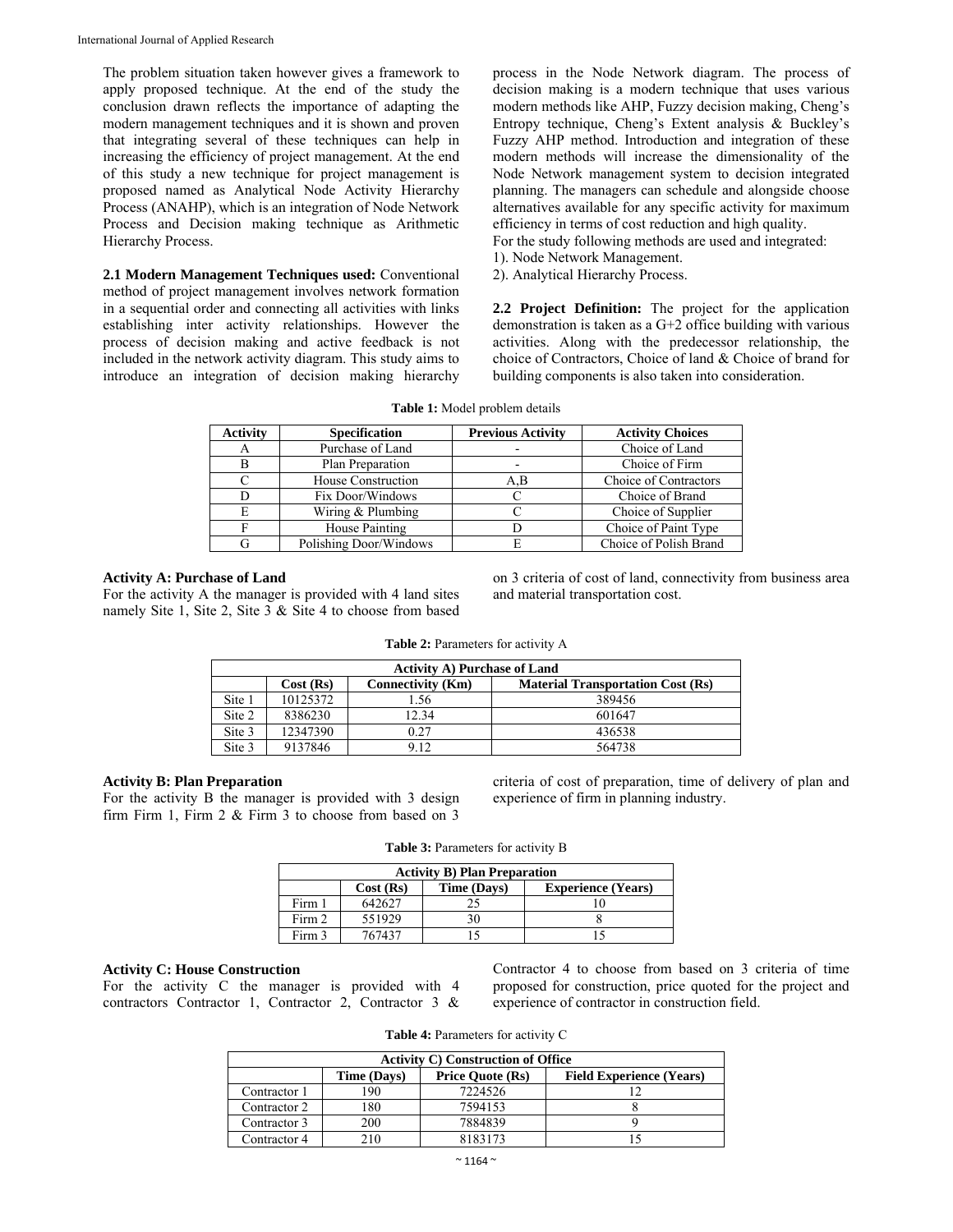The problem situation taken however gives a framework to apply proposed technique. At the end of the study the conclusion drawn reflects the importance of adapting the modern management techniques and it is shown and proven that integrating several of these techniques can help in increasing the efficiency of project management. At the end of this study a new technique for project management is proposed named as Analytical Node Activity Hierarchy Process (ANAHP), which is an integration of Node Network Process and Decision making technique as Arithmetic Hierarchy Process.

**2.1 Modern Management Techniques used:** Conventional method of project management involves network formation in a sequential order and connecting all activities with links establishing inter activity relationships. However the process of decision making and active feedback is not included in the network activity diagram. This study aims to introduce an integration of decision making hierarchy process in the Node Network diagram. The process of decision making is a modern technique that uses various modern methods like AHP, Fuzzy decision making, Cheng's Entropy technique, Cheng's Extent analysis & Buckley's Fuzzy AHP method. Introduction and integration of these modern methods will increase the dimensionality of the Node Network management system to decision integrated planning. The managers can schedule and alongside choose alternatives available for any specific activity for maximum efficiency in terms of cost reduction and high quality.

For the study following methods are used and integrated:

- 1). Node Network Management.
- 2). Analytical Hierarchy Process.

**2.2 Project Definition:** The project for the application demonstration is taken as a G+2 office building with various activities. Along with the predecessor relationship, the choice of Contractors, Choice of land & Choice of brand for building components is also taken into consideration.

| <b>Activity</b> | <b>Specification</b>   | <b>Previous Activity</b> | <b>Activity Choices</b> |
|-----------------|------------------------|--------------------------|-------------------------|
|                 | Purchase of Land       |                          | Choice of Land          |
|                 | Plan Preparation       |                          | Choice of Firm          |
|                 | House Construction     | A.B                      | Choice of Contractors   |
|                 | Fix Door/Windows       |                          | Choice of Brand         |
| E               | Wiring & Plumbing      |                          | Choice of Supplier      |
|                 | House Painting         |                          | Choice of Paint Type    |
|                 | Polishing Door/Windows |                          | Choice of Polish Brand  |

**Table 1:** Model problem details

## **Activity A: Purchase of Land**

For the activity A the manager is provided with 4 land sites namely Site 1, Site 2, Site 3 & Site 4 to choose from based on 3 criteria of cost of land, connectivity from business area and material transportation cost.

| <b>Table 2:</b> Parameters for activity A |  |  |
|-------------------------------------------|--|--|
|-------------------------------------------|--|--|

|        | <b>Activity A) Purchase of Land</b>                                              |       |        |  |  |  |
|--------|----------------------------------------------------------------------------------|-------|--------|--|--|--|
|        | <b>Connectivity (Km)</b><br><b>Material Transportation Cost (Rs)</b><br>Cost(Rs) |       |        |  |  |  |
| Site 1 | 10125372                                                                         | l.56  | 389456 |  |  |  |
| Site 2 | 8386230                                                                          | 12.34 | 601647 |  |  |  |
| Site 3 | 12347390                                                                         | 0.27  | 436538 |  |  |  |
| Site 3 | 9137846                                                                          | 9.12  | 564738 |  |  |  |

## **Activity B: Plan Preparation**

For the activity B the manager is provided with 3 design firm Firm 1, Firm 2 & Firm 3 to choose from based on 3

criteria of cost of preparation, time of delivery of plan and experience of firm in planning industry.

|  | Table 3: Parameters for activity B |  |  |  |
|--|------------------------------------|--|--|--|
|--|------------------------------------|--|--|--|

| <b>Activity B) Plan Preparation</b>                  |        |  |  |  |  |
|------------------------------------------------------|--------|--|--|--|--|
| Cost(Rs)<br><b>Experience (Years)</b><br>Time (Days) |        |  |  |  |  |
| Firm 1                                               | 642627 |  |  |  |  |
| Firm 2                                               | 551929 |  |  |  |  |
| Firm 3                                               | 767437 |  |  |  |  |

## **Activity C: House Construction**

For the activity C the manager is provided with 4 contractors Contractor 1, Contractor 2, Contractor 3 & Contractor 4 to choose from based on 3 criteria of time proposed for construction, price quoted for the project and experience of contractor in construction field.

**Table 4:** Parameters for activity C

| <b>Activity C) Construction of Office</b> |                                                                           |         |  |  |  |  |  |
|-------------------------------------------|---------------------------------------------------------------------------|---------|--|--|--|--|--|
|                                           | <b>Price Ouote (Rs)</b><br><b>Field Experience (Years)</b><br>Time (Days) |         |  |  |  |  |  |
| Contractor 1                              | $90^{\circ}$                                                              | 7224526 |  |  |  |  |  |
| Contractor 2                              | 180                                                                       | 7594153 |  |  |  |  |  |
| Contractor 3                              | 200                                                                       | 7884839 |  |  |  |  |  |
| Contractor 4                              | 210                                                                       | 8183173 |  |  |  |  |  |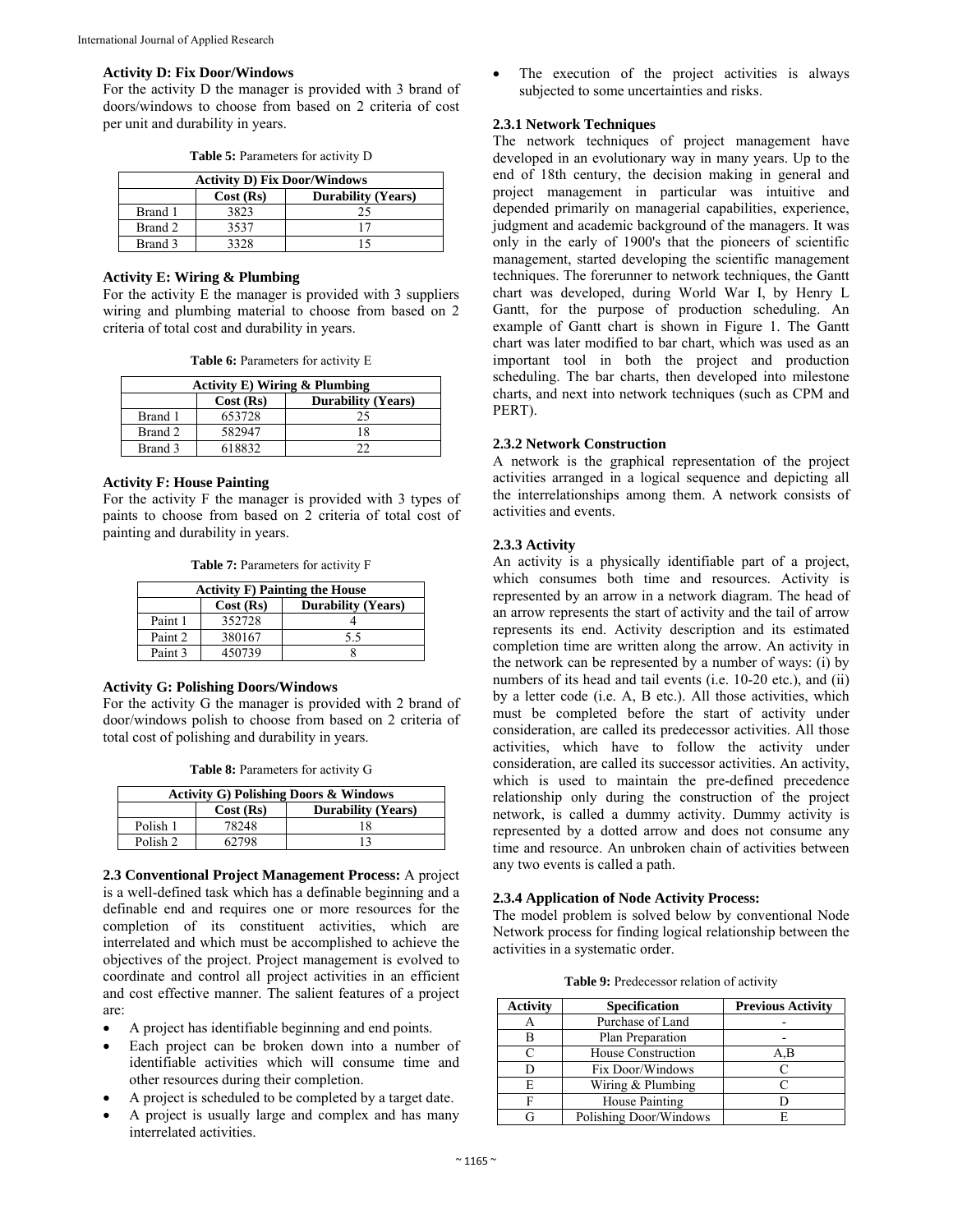#### **Activity D: Fix Door/Windows**

For the activity D the manager is provided with 3 brand of doors/windows to choose from based on 2 criteria of cost per unit and durability in years.

|  | <b>Table 5:</b> Parameters for activity D |
|--|-------------------------------------------|
|--|-------------------------------------------|

| <b>Activity D) Fix Door/Windows</b>   |      |    |  |  |
|---------------------------------------|------|----|--|--|
| Cost(Rs)<br><b>Durability (Years)</b> |      |    |  |  |
| Brand 1                               | 3823 | 25 |  |  |
| Brand 2                               | 3537 |    |  |  |
| Brand 3                               | 3328 |    |  |  |

## **Activity E: Wiring & Plumbing**

For the activity E the manager is provided with 3 suppliers wiring and plumbing material to choose from based on 2 criteria of total cost and durability in years.

**Table 6:** Parameters for activity E

| <b>Activity E) Wiring &amp; Plumbing</b> |        |    |  |  |
|------------------------------------------|--------|----|--|--|
| Cost(Rs)<br><b>Durability (Years)</b>    |        |    |  |  |
| Brand 1                                  | 653728 | 25 |  |  |
| Brand 2                                  | 582947 | 18 |  |  |
| Brand 3                                  | 618832 |    |  |  |

## **Activity F: House Painting**

For the activity F the manager is provided with 3 types of paints to choose from based on 2 criteria of total cost of painting and durability in years.

**Table 7:** Parameters for activity F

| <b>Activity F) Painting the House</b> |        |     |  |  |
|---------------------------------------|--------|-----|--|--|
| Cost(Rs)<br><b>Durability (Years)</b> |        |     |  |  |
| Paint 1                               | 352728 |     |  |  |
| Paint 2                               | 380167 | 5.5 |  |  |
| Paint 3                               | 450739 |     |  |  |

## **Activity G: Polishing Doors/Windows**

For the activity G the manager is provided with 2 brand of door/windows polish to choose from based on 2 criteria of total cost of polishing and durability in years.

**Table 8:** Parameters for activity G

| <b>Activity G) Polishing Doors &amp; Windows</b> |       |    |  |
|--------------------------------------------------|-------|----|--|
| <b>Durability (Years)</b><br>Cost (Rs)           |       |    |  |
| Polish 1                                         | 78248 |    |  |
| Polish 2                                         | 62798 | 13 |  |

**2.3 Conventional Project Management Process:** A project is a well-defined task which has a definable beginning and a definable end and requires one or more resources for the completion of its constituent activities, which are interrelated and which must be accomplished to achieve the objectives of the project. Project management is evolved to coordinate and control all project activities in an efficient and cost effective manner. The salient features of a project are:

- A project has identifiable beginning and end points.
- Each project can be broken down into a number of identifiable activities which will consume time and other resources during their completion.
- A project is scheduled to be completed by a target date.
- A project is usually large and complex and has many interrelated activities.

 The execution of the project activities is always subjected to some uncertainties and risks.

## **2.3.1 Network Techniques**

The network techniques of project management have developed in an evolutionary way in many years. Up to the end of 18th century, the decision making in general and project management in particular was intuitive and depended primarily on managerial capabilities, experience, judgment and academic background of the managers. It was only in the early of 1900's that the pioneers of scientific management, started developing the scientific management techniques. The forerunner to network techniques, the Gantt chart was developed, during World War I, by Henry L Gantt, for the purpose of production scheduling. An example of Gantt chart is shown in Figure 1. The Gantt chart was later modified to bar chart, which was used as an important tool in both the project and production scheduling. The bar charts, then developed into milestone charts, and next into network techniques (such as CPM and PERT).

## **2.3.2 Network Construction**

A network is the graphical representation of the project activities arranged in a logical sequence and depicting all the interrelationships among them. A network consists of activities and events.

### **2.3.3 Activity**

An activity is a physically identifiable part of a project, which consumes both time and resources. Activity is represented by an arrow in a network diagram. The head of an arrow represents the start of activity and the tail of arrow represents its end. Activity description and its estimated completion time are written along the arrow. An activity in the network can be represented by a number of ways: (i) by numbers of its head and tail events (i.e. 10-20 etc.), and (ii) by a letter code (i.e. A, B etc.). All those activities, which must be completed before the start of activity under consideration, are called its predecessor activities. All those activities, which have to follow the activity under consideration, are called its successor activities. An activity, which is used to maintain the pre-defined precedence relationship only during the construction of the project network, is called a dummy activity. Dummy activity is represented by a dotted arrow and does not consume any time and resource. An unbroken chain of activities between any two events is called a path.

## **2.3.4 Application of Node Activity Process:**

The model problem is solved below by conventional Node Network process for finding logical relationship between the activities in a systematic order.

| <b>Table 9:</b> Predecessor relation of activity |  |  |
|--------------------------------------------------|--|--|
|                                                  |  |  |

| <b>Activity</b> | <b>Specification</b>   | <b>Previous Activity</b> |
|-----------------|------------------------|--------------------------|
|                 | Purchase of Land       |                          |
|                 | Plan Preparation       |                          |
|                 | House Construction     | A,B                      |
|                 | Fix Door/Windows       |                          |
| E               | Wiring & Plumbing      |                          |
| F               | House Painting         |                          |
|                 | Polishing Door/Windows |                          |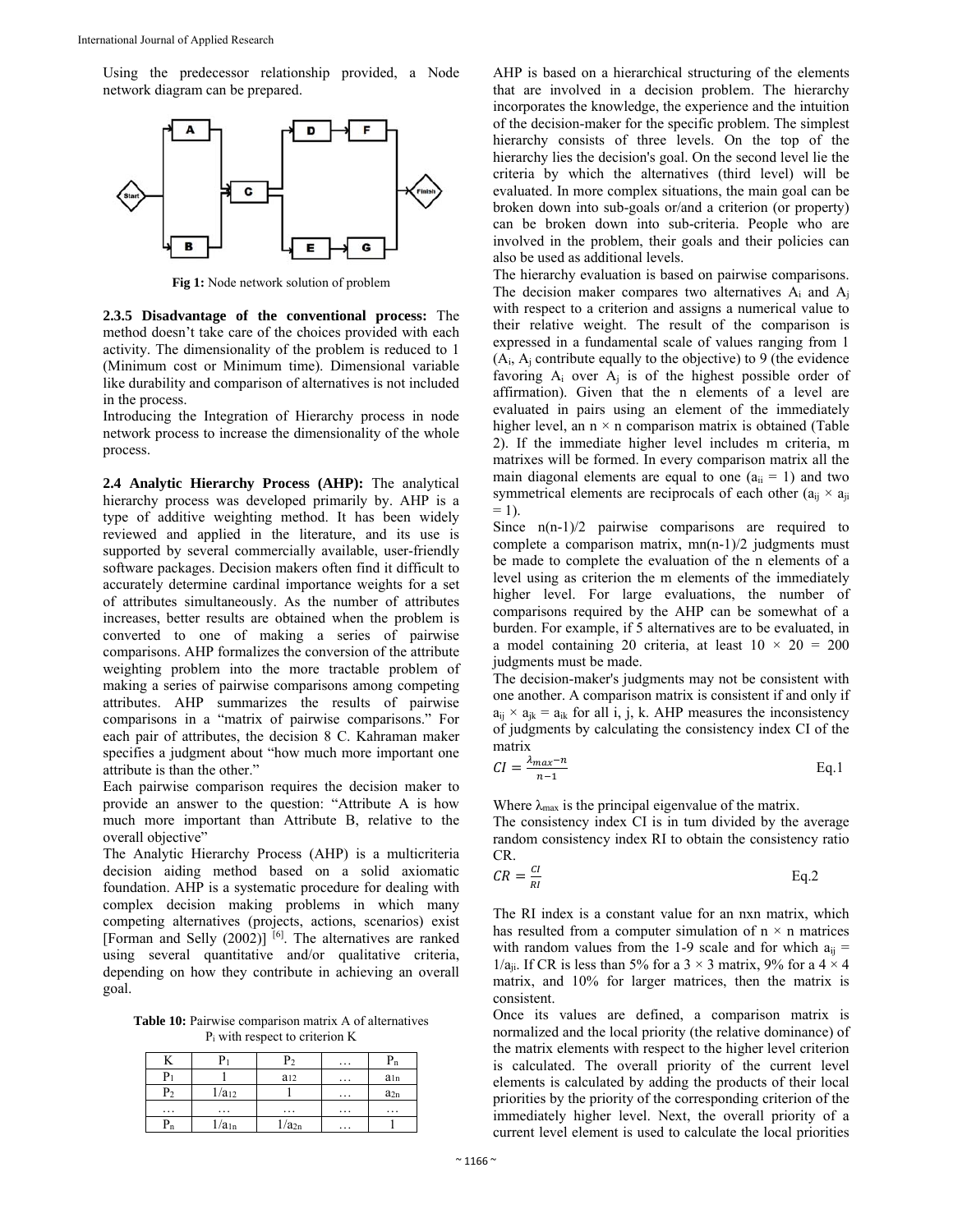Using the predecessor relationship provided, a Node network diagram can be prepared.



**Fig 1:** Node network solution of problem

**2.3.5 Disadvantage of the conventional process:** The method doesn't take care of the choices provided with each activity. The dimensionality of the problem is reduced to 1 (Minimum cost or Minimum time). Dimensional variable like durability and comparison of alternatives is not included in the process.

Introducing the Integration of Hierarchy process in node network process to increase the dimensionality of the whole process.

**2.4 Analytic Hierarchy Process (AHP):** The analytical hierarchy process was developed primarily by. AHP is a type of additive weighting method. It has been widely reviewed and applied in the literature, and its use is supported by several commercially available, user-friendly software packages. Decision makers often find it difficult to accurately determine cardinal importance weights for a set of attributes simultaneously. As the number of attributes increases, better results are obtained when the problem is converted to one of making a series of pairwise comparisons. AHP formalizes the conversion of the attribute weighting problem into the more tractable problem of making a series of pairwise comparisons among competing attributes. AHP summarizes the results of pairwise comparisons in a "matrix of pairwise comparisons." For each pair of attributes, the decision 8 C. Kahraman maker specifies a judgment about "how much more important one attribute is than the other."

Each pairwise comparison requires the decision maker to provide an answer to the question: "Attribute A is how much more important than Attribute B, relative to the overall objective"

The Analytic Hierarchy Process (AHP) is a multicriteria decision aiding method based on a solid axiomatic foundation. AHP is a systematic procedure for dealing with complex decision making problems in which many competing alternatives (projects, actions, scenarios) exist [Forman and Selly  $(2002)$ ] [6]. The alternatives are ranked using several quantitative and/or qualitative criteria, depending on how they contribute in achieving an overall goal.

**Table 10:** Pairwise comparison matrix A of alternatives Pi with respect to criterion K

|                |            | P <sub>2</sub>    | .        | Pn       |
|----------------|------------|-------------------|----------|----------|
| Pi             |            | $a_{12}$          | $\cdots$ | $a_{1n}$ |
| P <sub>2</sub> | $1/a_{12}$ |                   | .        | $a_{2n}$ |
| .              | .          | .                 | .        | .        |
| Pn             | $1/a_{1n}$ | 1/a <sub>2n</sub> | $\cdots$ |          |

AHP is based on a hierarchical structuring of the elements that are involved in a decision problem. The hierarchy incorporates the knowledge, the experience and the intuition of the decision-maker for the specific problem. The simplest hierarchy consists of three levels. On the top of the hierarchy lies the decision's goal. On the second level lie the criteria by which the alternatives (third level) will be evaluated. In more complex situations, the main goal can be broken down into sub-goals or/and a criterion (or property) can be broken down into sub-criteria. People who are involved in the problem, their goals and their policies can also be used as additional levels.

The hierarchy evaluation is based on pairwise comparisons. The decision maker compares two alternatives  $A_i$  and  $A_j$ with respect to a criterion and assigns a numerical value to their relative weight. The result of the comparison is expressed in a fundamental scale of values ranging from 1 (Ai, Aj contribute equally to the objective) to 9 (the evidence favoring  $A_i$  over  $A_j$  is of the highest possible order of affirmation). Given that the n elements of a level are evaluated in pairs using an element of the immediately higher level, an  $n \times n$  comparison matrix is obtained (Table 2). If the immediate higher level includes m criteria, m matrixes will be formed. In every comparison matrix all the main diagonal elements are equal to one  $(a_{ii} = 1)$  and two symmetrical elements are reciprocals of each other  $(a_{ii} \times a_{ii})$  $= 1$ ).

Since  $n(n-1)/2$  pairwise comparisons are required to complete a comparison matrix, mn(n-1)/2 judgments must be made to complete the evaluation of the n elements of a level using as criterion the m elements of the immediately higher level. For large evaluations, the number of comparisons required by the AHP can be somewhat of a burden. For example, if 5 alternatives are to be evaluated, in a model containing 20 criteria, at least  $10 \times 20 = 200$ judgments must be made.

The decision-maker's judgments may not be consistent with one another. A comparison matrix is consistent if and only if  $a_{ii} \times a_{ik} = a_{ik}$  for all i, j, k. AHP measures the inconsistency of judgments by calculating the consistency index CI of the matrix

$$
CI = \frac{\lambda_{max} - n}{n - 1}
$$
 Eq.1

Where  $\lambda_{\text{max}}$  is the principal eigenvalue of the matrix.

The consistency index CI is in tum divided by the average random consistency index RI to obtain the consistency ratio CR.

$$
CR = \frac{CI}{RI}
$$
 Eq.2

The RI index is a constant value for an nxn matrix, which has resulted from a computer simulation of  $n \times n$  matrices with random values from the 1-9 scale and for which  $a_{ii}$  = 1/a<sub>ii</sub>. If CR is less than 5% for a 3  $\times$  3 matrix, 9% for a 4  $\times$  4 matrix, and 10% for larger matrices, then the matrix is consistent.

Once its values are defined, a comparison matrix is normalized and the local priority (the relative dominance) of the matrix elements with respect to the higher level criterion is calculated. The overall priority of the current level elements is calculated by adding the products of their local priorities by the priority of the corresponding criterion of the immediately higher level. Next, the overall priority of a current level element is used to calculate the local priorities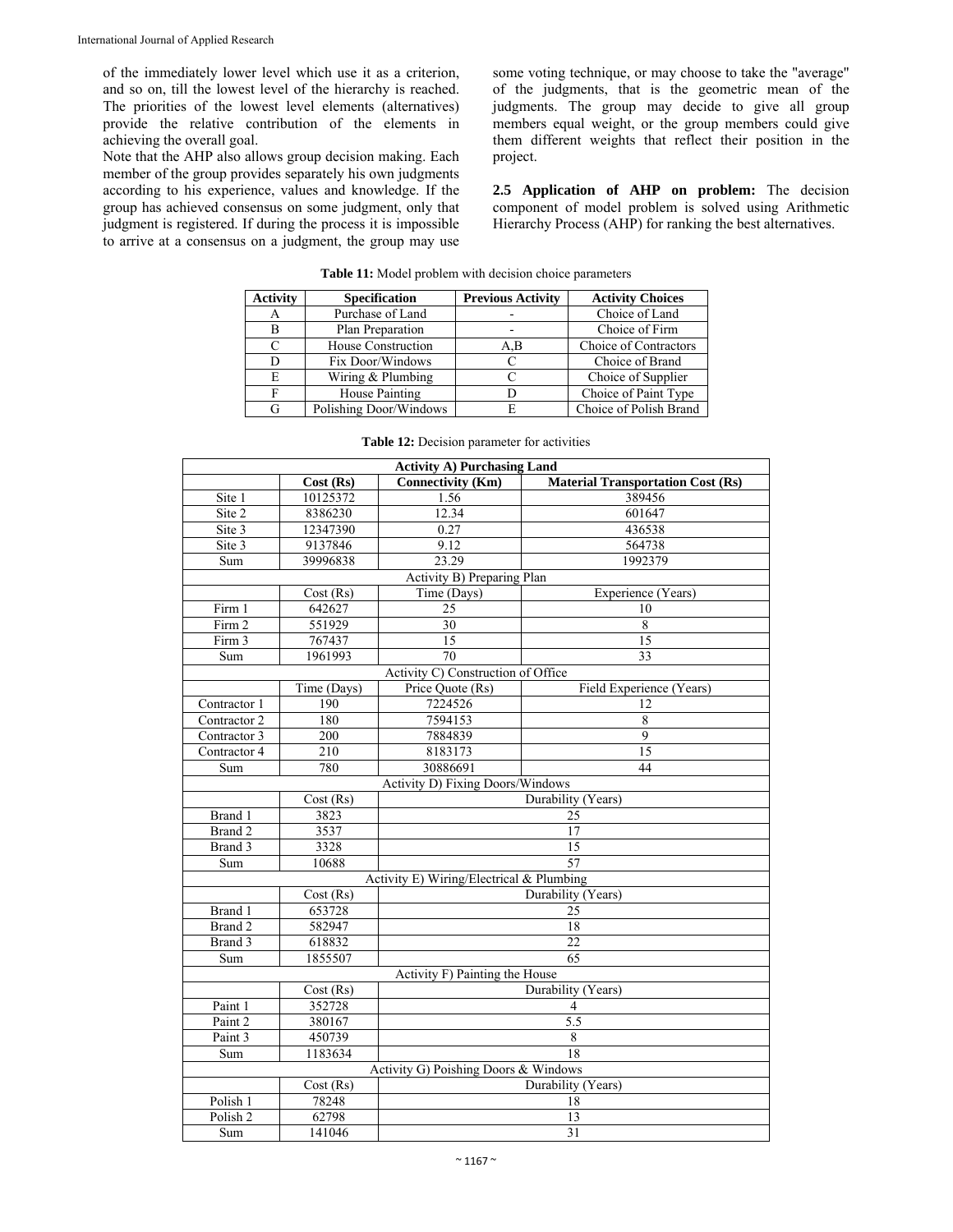of the immediately lower level which use it as a criterion, and so on, till the lowest level of the hierarchy is reached. The priorities of the lowest level elements (alternatives) provide the relative contribution of the elements in achieving the overall goal.

Note that the AHP also allows group decision making. Each member of the group provides separately his own judgments according to his experience, values and knowledge. If the group has achieved consensus on some judgment, only that judgment is registered. If during the process it is impossible to arrive at a consensus on a judgment, the group may use some voting technique, or may choose to take the "average" of the judgments, that is the geometric mean of the judgments. The group may decide to give all group members equal weight, or the group members could give them different weights that reflect their position in the project.

**2.5 Application of AHP on problem:** The decision component of model problem is solved using Arithmetic Hierarchy Process (AHP) for ranking the best alternatives.

| <b>Activity</b> | <b>Specification</b>   | <b>Previous Activity</b> | <b>Activity Choices</b> |
|-----------------|------------------------|--------------------------|-------------------------|
| A               | Purchase of Land       |                          | Choice of Land          |
| в               | Plan Preparation       |                          | Choice of Firm          |
| $\subset$       | House Construction     | A.B                      | Choice of Contractors   |
| D               | Fix Door/Windows       |                          | Choice of Brand         |
| E               | Wiring & Plumbing      |                          | Choice of Supplier      |
|                 | House Painting         |                          | Choice of Paint Type    |
| G               | Polishing Door/Windows |                          | Choice of Polish Brand  |

**Table 11:** Model problem with decision choice parameters

|                     |             | <b>Activity A) Purchasing Land</b>       |                                          |
|---------------------|-------------|------------------------------------------|------------------------------------------|
|                     | Cost(Rs)    | <b>Connectivity (Km)</b>                 | <b>Material Transportation Cost (Rs)</b> |
| Site 1              | 10125372    | 1.56                                     | 389456                                   |
| Site 2              | 8386230     | 12.34                                    | 601647                                   |
| Site 3              | 12347390    | 0.27                                     | 436538                                   |
| Site 3              | 9137846     | 9.12                                     | 564738                                   |
| Sum                 | 39996838    | 23.29                                    | 1992379                                  |
|                     |             | Activity B) Preparing Plan               |                                          |
|                     | Cost (Rs)   | Time (Days)                              | Experience (Years)                       |
| Firm 1              | 642627      | 25                                       | 10                                       |
| Firm 2              | 551929      | 30                                       | $\overline{8}$                           |
| Firm 3              | 767437      | 15                                       | 15                                       |
| Sum                 | 1961993     | 70                                       | $\overline{33}$                          |
|                     |             | Activity C) Construction of Office       |                                          |
|                     | Time (Days) | Price Quote (Rs)                         | Field Experience (Years)                 |
| Contractor 1        | 190         | 7224526                                  | 12                                       |
| Contractor 2        | 180         | 7594153                                  | $\,$ 8 $\,$                              |
| Contractor 3        | 200         | 7884839                                  | $\overline{9}$                           |
| Contractor 4        | 210         | 8183173                                  | 15                                       |
| Sum                 | 780         | 30886691                                 | 44                                       |
|                     |             | <b>Activity D) Fixing Doors/Windows</b>  |                                          |
|                     | Cost(Rs)    |                                          | Durability (Years)                       |
| Brand 1             | 3823        |                                          | 25                                       |
| Brand 2             | 3537        |                                          | 17                                       |
| Brand 3             | 3328        |                                          | 15                                       |
| Sum                 | 10688       |                                          | 57                                       |
|                     |             | Activity E) Wiring/Electrical & Plumbing |                                          |
|                     | Cost(Rs)    |                                          | Durability (Years)                       |
| Brand 1             | 653728      |                                          | 25                                       |
| Brand 2             | 582947      |                                          | 18                                       |
| Brand 3             | 618832      |                                          | 22                                       |
| Sum                 | 1855507     |                                          | 65                                       |
|                     |             | Activity F) Painting the House           |                                          |
|                     | Cost(Rs)    |                                          | Durability (Years)                       |
| Paint 1             | 352728      |                                          | 4                                        |
| Paint 2             | 380167      |                                          | 5.5                                      |
| Paint 3             | 450739      |                                          | 8                                        |
| Sum                 | 1183634     |                                          | 18                                       |
|                     |             | Activity G) Poishing Doors & Windows     |                                          |
|                     | Cost(Rs)    |                                          | Durability (Years)                       |
| Polish <sub>1</sub> | 78248       |                                          | 18                                       |
| Polish <sub>2</sub> | 62798       |                                          | 13                                       |
| Sum                 | 141046      |                                          | 31                                       |

| <b>Table 12:</b> Decision parameter for activities |  |  |  |  |  |
|----------------------------------------------------|--|--|--|--|--|
|----------------------------------------------------|--|--|--|--|--|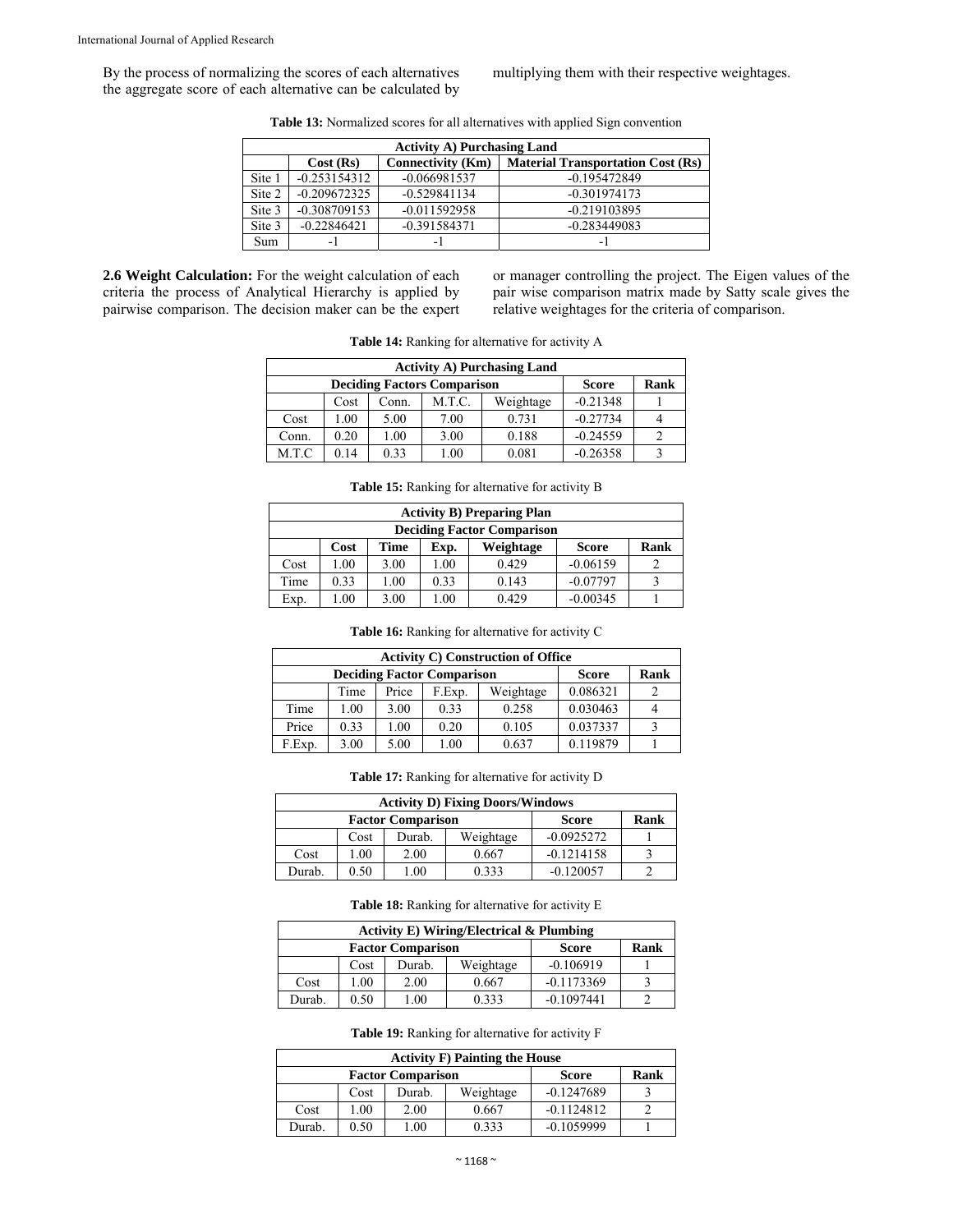By the process of normalizing the scores of each alternatives the aggregate score of each alternative can be calculated by multiplying them with their respective weightages.

| <b>Table 13:</b> Normalized scores for all alternatives with applied Sign convention |  |  |
|--------------------------------------------------------------------------------------|--|--|
|--------------------------------------------------------------------------------------|--|--|

|        | <b>Activity A) Purchasing Land</b> |                          |                                          |  |  |  |  |
|--------|------------------------------------|--------------------------|------------------------------------------|--|--|--|--|
|        | Cost(Rs)                           | <b>Connectivity (Km)</b> | <b>Material Transportation Cost (Rs)</b> |  |  |  |  |
| Site 1 | $-0.253154312$                     | $-0.066981537$           | $-0.195472849$                           |  |  |  |  |
| Site 2 | $-0.209672325$                     | $-0.529841134$           | $-0.301974173$                           |  |  |  |  |
| Site 3 | $-0.308709153$                     | $-0.011592958$           | $-0.219103895$                           |  |  |  |  |
| Site 3 | $-0.22846421$                      | $-0.391584371$           | $-0.283449083$                           |  |  |  |  |
| Sum    | - 1                                | $\overline{\phantom{0}}$ | -                                        |  |  |  |  |

**2.6 Weight Calculation:** For the weight calculation of each criteria the process of Analytical Hierarchy is applied by pairwise comparison. The decision maker can be the expert or manager controlling the project. The Eigen values of the pair wise comparison matrix made by Satty scale gives the relative weightages for the criteria of comparison.

**Table 14:** Ranking for alternative for activity A

| <b>Activity A) Purchasing Land</b> |      |       |        |              |            |  |  |
|------------------------------------|------|-------|--------|--------------|------------|--|--|
| <b>Deciding Factors Comparison</b> |      |       |        | <b>Score</b> | Rank       |  |  |
|                                    | Cost | Conn. | M.T.C. | Weightage    | $-0.21348$ |  |  |
| Cost                               | .00  | 5.00  | 7.00   | 0.731        | $-0.27734$ |  |  |
| Conn.                              | 0.20 | 1.00  | 3.00   | 0.188        | $-0.24559$ |  |  |
| M.T.C                              | 0 14 | 0.33  | 1.00   | 0.081        | $-0.26358$ |  |  |

**Table 15:** Ranking for alternative for activity B

| <b>Activity B) Preparing Plan</b>                         |      |      |      |       |            |  |  |
|-----------------------------------------------------------|------|------|------|-------|------------|--|--|
| <b>Deciding Factor Comparison</b>                         |      |      |      |       |            |  |  |
| Weightage<br>Rank<br><b>Score</b><br>Time<br>Cost<br>Exp. |      |      |      |       |            |  |  |
| Cost                                                      | 1.00 | 3.00 | 1.00 | 0.429 | $-0.06159$ |  |  |
| Time                                                      | 0.33 | 1.00 | 0.33 | 0.143 | $-0.07797$ |  |  |
| Exp.                                                      | 1.00 | 3.00 | 1.00 | 0.429 | $-0.00345$ |  |  |

| <b>Table 16:</b> Ranking for alternative for activity C |
|---------------------------------------------------------|
|---------------------------------------------------------|

|                                      | <b>Activity C) Construction of Office</b> |      |      |              |          |   |  |  |
|--------------------------------------|-------------------------------------------|------|------|--------------|----------|---|--|--|
| <b>Deciding Factor Comparison</b>    |                                           |      |      | <b>Score</b> | Rank     |   |  |  |
| Weightage<br>Price<br>Time<br>F.Exp. |                                           |      |      |              | 0.086321 | 2 |  |  |
| Time                                 | 1.00                                      | 3.00 | 0.33 | 0.258        | 0.030463 |   |  |  |
| Price                                | 0.33                                      | 1.00 | 0.20 | 0.105        | 0.037337 |   |  |  |
| F.Exp.                               | 3.00                                      | 5.00 | 1.00 | 0.637        | 0.119879 |   |  |  |

**Table 17:** Ranking for alternative for activity D

| <b>Activity D) Fixing Doors/Windows</b> |                          |              |           |              |  |  |  |
|-----------------------------------------|--------------------------|--------------|-----------|--------------|--|--|--|
|                                         | <b>Factor Comparison</b> | <b>Score</b> | Rank      |              |  |  |  |
|                                         | Cost                     | Durab.       | Weightage | $-0.0925272$ |  |  |  |
| Cost                                    | 0.00                     | 2.00         | 0.667     | $-0.1214158$ |  |  |  |
| Durab.                                  | 0.50                     | .00          | 0.333     | $-0.120057$  |  |  |  |

**Table 18:** Ranking for alternative for activity E

| <b>Activity E) Wiring/Electrical &amp; Plumbing</b> |                          |              |           |              |  |  |  |  |
|-----------------------------------------------------|--------------------------|--------------|-----------|--------------|--|--|--|--|
|                                                     | <b>Factor Comparison</b> | <b>Score</b> | Rank      |              |  |  |  |  |
|                                                     | Cost                     | Durab.       | Weightage | $-0.106919$  |  |  |  |  |
| Cost                                                | .00                      | 2.00         | 0.667     | $-0.1173369$ |  |  |  |  |
| Durab.                                              | 0.50                     | .00          | 0.333     | $-0.1097441$ |  |  |  |  |

**Table 19:** Ranking for alternative for activity F

| <b>Activity F) Painting the House</b> |                          |              |           |              |  |  |  |  |
|---------------------------------------|--------------------------|--------------|-----------|--------------|--|--|--|--|
|                                       | <b>Factor Comparison</b> | <b>Score</b> | Rank      |              |  |  |  |  |
|                                       | Cost                     | Durab.       | Weightage | $-0.1247689$ |  |  |  |  |
| Cost                                  | .00                      | 2.00         | 0.667     | $-0.1124812$ |  |  |  |  |
| Durab.                                | 0.50                     | .00          | 0.333     | $-0.1059999$ |  |  |  |  |